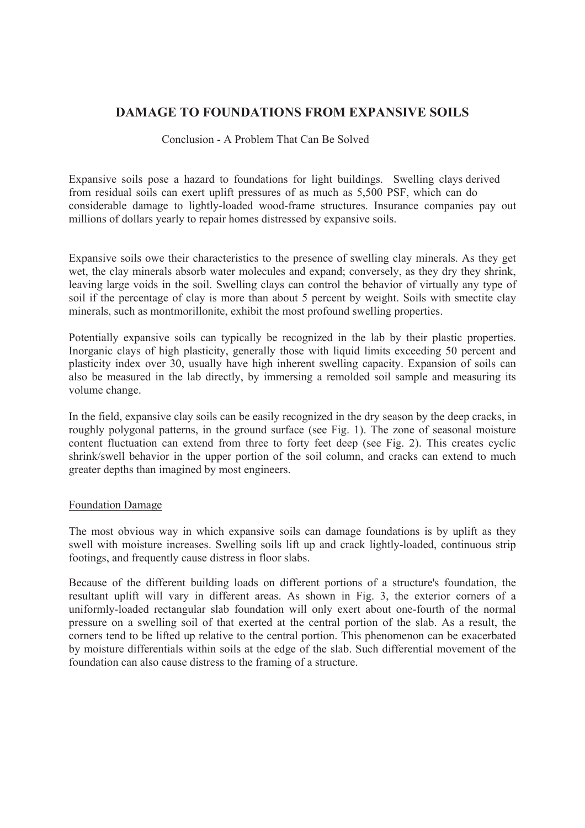# **DAMAGE TO FOUNDATIONS FROM EXPANSIVE SOILS**

## Conclusion - A Problem That Can Be Solved

Expansive soils pose a hazard to foundations for light buildings. Swelling clays derived from residual soils can exert uplift pressures of as much as 5,500 PSF, which can do considerable damage to lightly-loaded wood-frame structures. Insurance companies pay out millions of dollars yearly to repair homes distressed by expansive soils.

Expansive soils owe their characteristics to the presence of swelling clay minerals. As they get wet, the clay minerals absorb water molecules and expand; conversely, as they dry they shrink, leaving large voids in the soil. Swelling clays can control the behavior of virtually any type of soil if the percentage of clay is more than about 5 percent by weight. Soils with smectite clay minerals, such as montmorillonite, exhibit the most profound swelling properties.

Potentially expansive soils can typically be recognized in the lab by their plastic properties. Inorganic clays of high plasticity, generally those with liquid limits exceeding 50 percent and plasticity index over 30, usually have high inherent swelling capacity. Expansion of soils can also be measured in the lab directly, by immersing a remolded soil sample and measuring its volume change.

In the field, expansive clay soils can be easily recognized in the dry season by the deep cracks, in roughly polygonal patterns, in the ground surface (see Fig. 1). The zone of seasonal moisture content fluctuation can extend from three to forty feet deep (see Fig. 2). This creates cyclic shrink/swell behavior in the upper portion of the soil column, and cracks can extend to much greater depths than imagined by most engineers.

#### Foundation Damage

The most obvious way in which expansive soils can damage foundations is by uplift as they swell with moisture increases. Swelling soils lift up and crack lightly-loaded, continuous strip footings, and frequently cause distress in floor slabs.

Because of the different building loads on different portions of a structure's foundation, the resultant uplift will vary in different areas. As shown in Fig. 3, the exterior corners of a uniformly-loaded rectangular slab foundation will only exert about one-fourth of the normal pressure on a swelling soil of that exerted at the central portion of the slab. As a result, the corners tend to be lifted up relative to the central portion. This phenomenon can be exacerbated by moisture differentials within soils at the edge of the slab. Such differential movement of the foundation can also cause distress to the framing of a structure.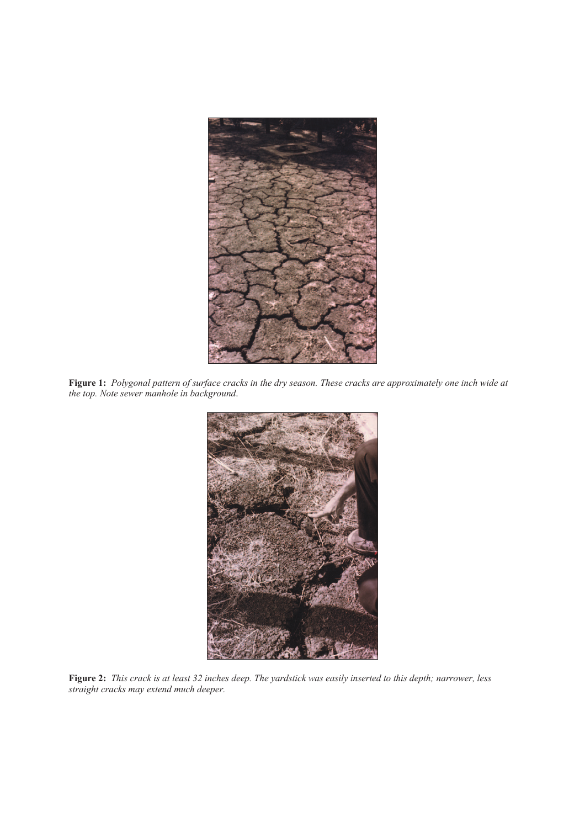

**Figure 1:** *Polygonal pattern of surface cracks in the dry season. These cracks are approximately one inch wide at the top. Note sewer manhole in background*.



**Figure 2:** *This crack is at least 32 inches deep. The yardstick was easily inserted to this depth; narrower, less straight cracks may extend much deeper.*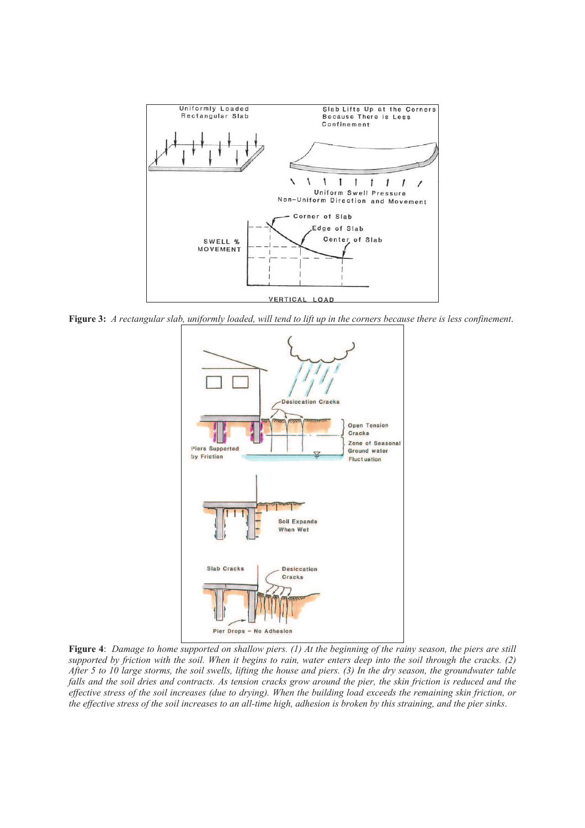

**Figure 3:** *A rectangular slab, uniformly loaded, will tend to lift up in the corners because there is less confinement*.



**Figure 4**: *Damage to home supported on shallow piers. (1) At the beginning of the rainy season, the piers are still supported by friction with the soil. When it begins to rain, water enters deep into the soil through the cracks. (2) After 5 to 10 large storms, the soil swells, lifting the house and piers. (3) In the dry season, the groundwater table falls and the soil dries and contracts. As tension cracks grow around the pier, the skin friction is reduced and the effective stress of the soil increases (due to drying). When the building load exceeds the remaining skin friction, or the effective stress of the soil increases to an all-time high, adhesion is broken by this straining, and the pier sinks*.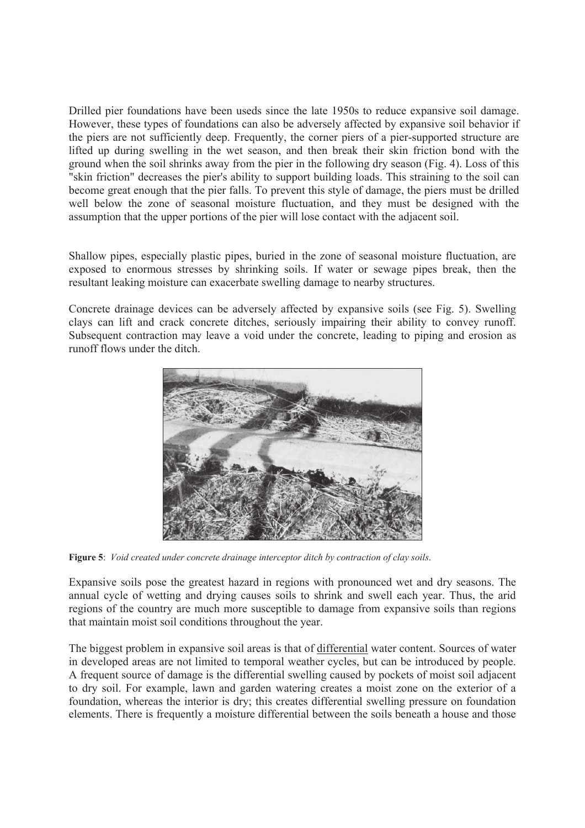Drilled pier foundations have been useds since the late 1950s to reduce expansive soil damage. However, these types of foundations can also be adversely affected by expansive soil behavior if the piers are not sufficiently deep. Frequently, the corner piers of a pier-supported structure are lifted up during swelling in the wet season, and then break their skin friction bond with the ground when the soil shrinks away from the pier in the following dry season (Fig. 4). Loss of this "skin friction" decreases the pier's ability to support building loads. This straining to the soil can become great enough that the pier falls. To prevent this style of damage, the piers must be drilled well below the zone of seasonal moisture fluctuation, and they must be designed with the assumption that the upper portions of the pier will lose contact with the adjacent soil.

Shallow pipes, especially plastic pipes, buried in the zone of seasonal moisture fluctuation, are exposed to enormous stresses by shrinking soils. If water or sewage pipes break, then the resultant leaking moisture can exacerbate swelling damage to nearby structures.

Concrete drainage devices can be adversely affected by expansive soils (see Fig. 5). Swelling clays can lift and crack concrete ditches, seriously impairing their ability to convey runoff. Subsequent contraction may leave a void under the concrete, leading to piping and erosion as runoff flows under the ditch.



**Figure 5**: *Void created under concrete drainage interceptor ditch by contraction of clay soils*.

Expansive soils pose the greatest hazard in regions with pronounced wet and dry seasons. The annual cycle of wetting and drying causes soils to shrink and swell each year. Thus, the arid regions of the country are much more susceptible to damage from expansive soils than regions that maintain moist soil conditions throughout the year.

The biggest problem in expansive soil areas is that of differential water content. Sources of water in developed areas are not limited to temporal weather cycles, but can be introduced by people. A frequent source of damage is the differential swelling caused by pockets of moist soil adjacent to dry soil. For example, lawn and garden watering creates a moist zone on the exterior of a foundation, whereas the interior is dry; this creates differential swelling pressure on foundation elements. There is frequently a moisture differential between the soils beneath a house and those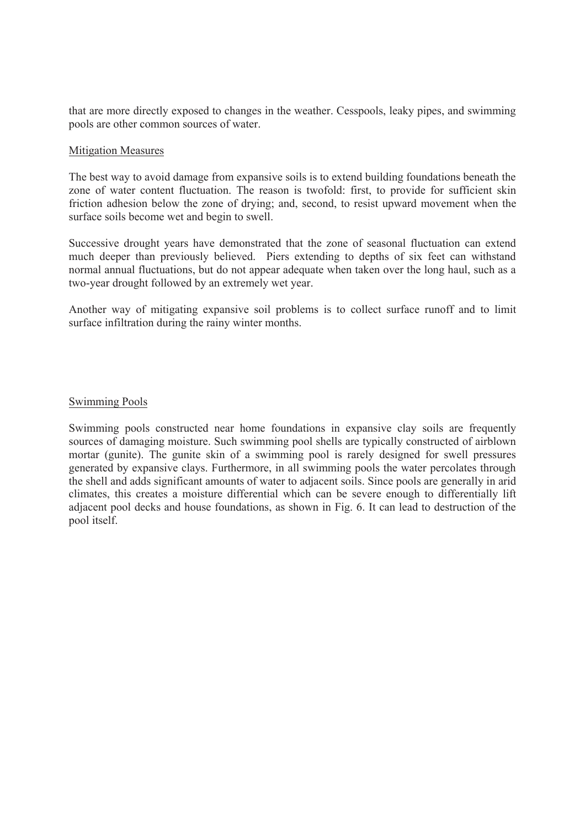that are more directly exposed to changes in the weather. Cesspools, leaky pipes, and swimming pools are other common sources of water.

## Mitigation Measures

The best way to avoid damage from expansive soils is to extend building foundations beneath the zone of water content fluctuation. The reason is twofold: first, to provide for sufficient skin friction adhesion below the zone of drying; and, second, to resist upward movement when the surface soils become wet and begin to swell.

Successive drought years have demonstrated that the zone of seasonal fluctuation can extend much deeper than previously believed. Piers extending to depths of six feet can withstand normal annual fluctuations, but do not appear adequate when taken over the long haul, such as a two-year drought followed by an extremely wet year.

Another way of mitigating expansive soil problems is to collect surface runoff and to limit surface infiltration during the rainy winter months.

## Swimming Pools

Swimming pools constructed near home foundations in expansive clay soils are frequently sources of damaging moisture. Such swimming pool shells are typically constructed of airblown mortar (gunite). The gunite skin of a swimming pool is rarely designed for swell pressures generated by expansive clays. Furthermore, in all swimming pools the water percolates through the shell and adds significant amounts of water to adjacent soils. Since pools are generally in arid climates, this creates a moisture differential which can be severe enough to differentially lift adjacent pool decks and house foundations, as shown in Fig. 6. It can lead to destruction of the pool itself.